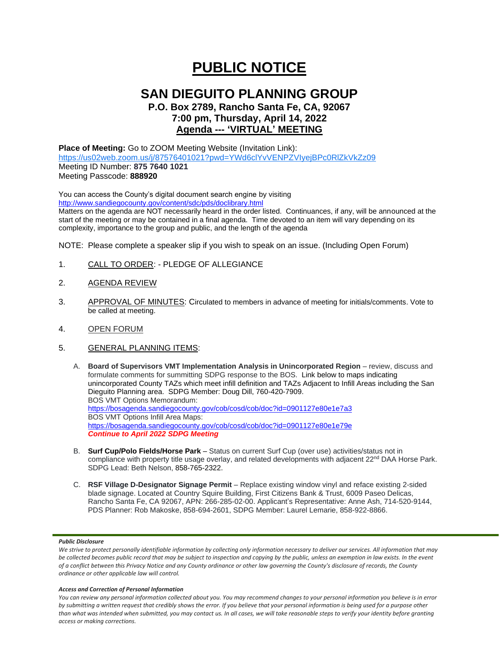# **PUBLIC NOTICE**

## **SAN DIEGUITO PLANNING GROUP**

### **P.O. Box 2789, Rancho Santa Fe, CA, 92067 7:00 pm, Thursday, April 14, 2022 Agenda --- 'VIRTUAL' MEETING**

**Place of Meeting:** Go to ZOOM Meeting Website (Invitation Link): <https://us02web.zoom.us/j/87576401021?pwd=YWd6clYvVENPZVIyejBPc0RlZkVkZz09> Meeting ID Number: **875 7640 1021** Meeting Passcode: **888920**

You can access the County's digital document search engine by visiting <http://www.sandiegocounty.gov/content/sdc/pds/doclibrary.html>

Matters on the agenda are NOT necessarily heard in the order listed. Continuances, if any, will be announced at the start of the meeting or may be contained in a final agenda. Time devoted to an item will vary depending on its complexity, importance to the group and public, and the length of the agenda

NOTE: Please complete a speaker slip if you wish to speak on an issue. (Including Open Forum)

- 1. CALL TO ORDER: PLEDGE OF ALLEGIANCE
- 2. AGENDA REVIEW
- 3. APPROVAL OF MINUTES: Circulated to members in advance of meeting for initials/comments. Vote to be called at meeting.
- 4. OPEN FORUM
- 5. GENERAL PLANNING ITEMS:
	- A. **Board of Supervisors VMT Implementation Analysis in Unincorporated Region** review, discuss and formulate comments for summitting SDPG response to the BOS. Link below to maps indicating unincorporated County TAZs which meet infill definition and TAZs Adjacent to Infill Areas including the San Dieguito Planning area. SDPG Member: Doug Dill, 760-420-7909. BOS VMT Options Memorandum: <https://bosagenda.sandiegocounty.gov/cob/cosd/cob/doc?id=0901127e80e1e7a3> BOS VMT Options Infill Area Maps: <https://bosagenda.sandiegocounty.gov/cob/cosd/cob/doc?id=0901127e80e1e79e> *Continue to April 2022 SDPG Meeting*
	- B. **Surf Cup/Polo Fields/Horse Park** Status on current Surf Cup (over use) activities/status not in compliance with property title usage overlay, and related developments with adjacent 22<sup>nd</sup> DAA Horse Park. SDPG Lead: Beth Nelson, 858-765-2322.
	- C. **RSF Village D-Designator Signage Permit**  Replace existing window vinyl and reface existing 2-sided blade signage. Located at Country Squire Building, First Citizens Bank & Trust, 6009 Paseo Delicas, Rancho Santa Fe, CA 92067, APN: 266-285-02-00. Applicant's Representative: Anne Ash, 714-520-9144, PDS Planner: Rob Makoske, 858-694-2601, SDPG Member: Laurel Lemarie, 858-922-8866.

#### *Public Disclosure*

#### *Access and Correction of Personal Information*

*You can review any personal information collected about you. You may recommend changes to your personal information you believe is in error by submitting a written request that credibly shows the error. If you believe that your personal information is being used for a purpose other than what was intended when submitted, you may contact us. In all cases, we will take reasonable steps to verify your identity before granting access or making corrections.*

We strive to protect personally identifiable information by collecting only information necessary to deliver our services. All information that may *be collected becomes public record that may be subject to inspection and copying by the public, unless an exemption in law exists. In the event of a conflict between this Privacy Notice and any County ordinance or other law governing the County's disclosure of records, the County ordinance or other applicable law will control.*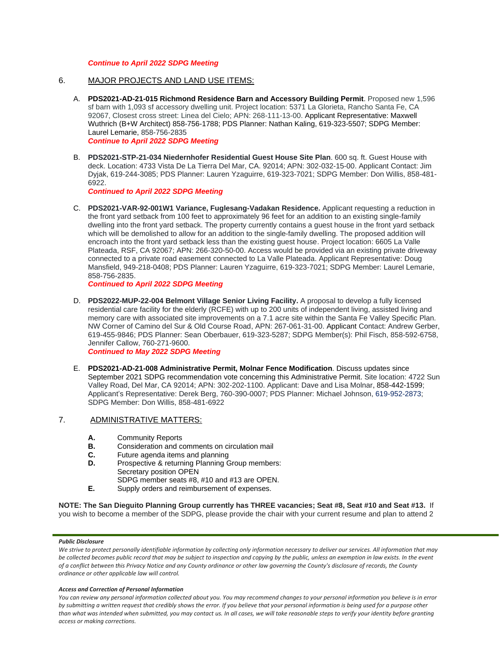#### *Continue to April 2022 SDPG Meeting*

- 6. MAJOR PROJECTS AND LAND USE ITEMS:
	- A. **PDS2021-AD-21-015 Richmond Residence Barn and Accessory Building Permit**. Proposed new 1,596 sf barn with 1,093 sf accessory dwelling unit. Project location: 5371 La Glorieta, Rancho Santa Fe, CA 92067, Closest cross street: Linea del Cielo; APN: 268-111-13-00. Applicant Representative: Maxwell Wuthrich (B+W Architect) 858-756-1788; PDS Planner: Nathan Kaling, 619-323-5507; SDPG Member: Laurel Lemarie, 858-756-2835 *Continue to April 2022 SDPG Meeting*
	- B. **PDS2021-STP-21-034 Niedernhofer Residential Guest House Site Plan**. 600 sq. ft. Guest House with deck. Location: 4733 Vista De La Tierra Del Mar, CA. 92014; APN: 302-032-15-00. Applicant Contact: Jim Dyjak, 619-244-3085; PDS Planner: Lauren Yzaguirre, 619-323-7021; SDPG Member: Don Willis, 858-481- 6922.

*Continued to April 2022 SDPG Meeting*

C. **PDS2021-VAR-92-001W1 Variance, Fuglesang-Vadakan Residence.** Applicant requesting a reduction in the front yard setback from 100 feet to approximately 96 feet for an addition to an existing single-family dwelling into the front yard setback. The property currently contains a guest house in the front yard setback which will be demolished to allow for an addition to the single-family dwelling. The proposed addition will encroach into the front yard setback less than the existing guest house. Project location: 6605 La Valle Plateada, RSF, CA 92067; APN: 266-320-50-00. Access would be provided via an existing private driveway connected to a private road easement connected to La Valle Plateada. Applicant Representative: Doug Mansfield, 949-218-0408; PDS Planner: Lauren Yzaguirre, 619-323-7021; SDPG Member: Laurel Lemarie, 858-756-2835.

*Continued to April 2022 SDPG Meeting*

- D. **PDS2022-MUP-22-004 Belmont Village Senior Living Facility.** A proposal to develop a fully licensed residential care facility for the elderly (RCFE) with up to 200 units of independent living, assisted living and memory care with associated site improvements on a 7.1 acre site within the Santa Fe Valley Specific Plan. NW Corner of Camino del Sur & Old Course Road, APN: 267-061-31-00. Applicant Contact: Andrew Gerber, 619-455-9846; PDS Planner: Sean Oberbauer, 619-323-5287; SDPG Member(s): Phil Fisch, 858-592-6758, Jennifer Callow, 760-271-9600. *Continued to May 2022 SDPG Meeting*
- E. **PDS2021-AD-21-008 Administrative Permit, Molnar Fence Modification**. Discuss updates since September 2021 SDPG recommendation vote concerning this Administrative Permit. Site location: 4722 Sun Valley Road, Del Mar, CA 92014; APN: 302-202-1100. Applicant: Dave and Lisa Molnar, 858-442-1599; Applicant's Representative: Derek Berg, 760-390-0007; PDS Planner: Michael Johnson, 619-952-2873;

#### 7. ADMINISTRATIVE MATTERS:

- **A.** Community Reports
- **B.** Consideration and comments on circulation mail
- **C.** Future agenda items and planning

SDPG Member: Don Willis, 858-481-6922

- **D.** Prospective & returning Planning Group members: Secretary position OPEN
- SDPG member seats #8, #10 and #13 are OPEN.
- **E.** Supply orders and reimbursement of expenses.

**NOTE: The San Dieguito Planning Group currently has THREE vacancies; Seat #8, Seat #10 and Seat #13.** If you wish to become a member of the SDPG, please provide the chair with your current resume and plan to attend 2

#### *Public Disclosure*

#### *Access and Correction of Personal Information*

*You can review any personal information collected about you. You may recommend changes to your personal information you believe is in error by submitting a written request that credibly shows the error. If you believe that your personal information is being used for a purpose other than what was intended when submitted, you may contact us. In all cases, we will take reasonable steps to verify your identity before granting access or making corrections.*

We strive to protect personally identifiable information by collecting only information necessary to deliver our services. All information that may *be collected becomes public record that may be subject to inspection and copying by the public, unless an exemption in law exists. In the event of a conflict between this Privacy Notice and any County ordinance or other law governing the County's disclosure of records, the County ordinance or other applicable law will control.*